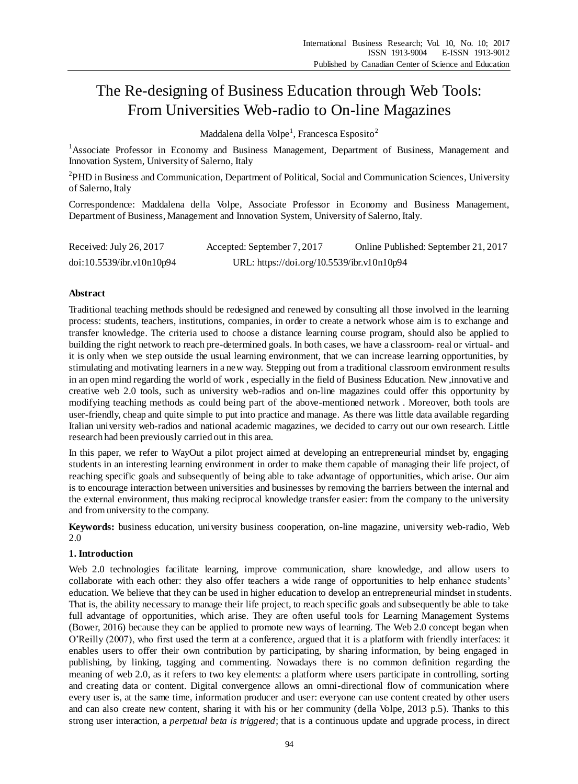# The Re-designing of Business Education through Web Tools: From Universities Web-radio to On-line Magazines

Maddalena della Volpe<sup>1</sup>, Francesca Esposito<sup>2</sup>

<sup>1</sup>Associate Professor in Economy and Business Management, Department of Business, Management and Innovation System, University of Salerno, Italy

<sup>2</sup>PHD in Business and Communication, Department of Political, Social and Communication Sciences, University of Salerno, Italy

Correspondence: Maddalena della Volpe, Associate Professor in Economy and Business Management, Department of Business, Management and Innovation System, University of Salerno, Italy.

| Received: July 26, 2017   | Accepted: September 7, 2017                | Online Published: September 21, 2017 |
|---------------------------|--------------------------------------------|--------------------------------------|
| doi:10.5539/ibr.v10n10p94 | URL: https://doi.org/10.5539/ibr.v10n10p94 |                                      |

# **Abstract**

Traditional teaching methods should be redesigned and renewed by consulting all those involved in the learning process: students, teachers, institutions, companies, in order to create a network whose aim is to exchange and transfer knowledge. The criteria used to choose a distance learning course program, should also be applied to building the right network to reach pre-determined goals. In both cases, we have a classroom- real or virtual- and it is only when we step outside the usual learning environment, that we can increase learning opportunities, by stimulating and motivating learners in a new way. Stepping out from a traditional classroom environment re sults in an open mind regarding the world of work , especially in the field of Business Education. New ,innovative and creative web 2.0 tools, such as university web-radios and on-line magazines could offer this opportunity by modifying teaching methods as could being part of the above-mentioned network . Moreover, both tools are user-friendly, cheap and quite simple to put into practice and manage. As there was little data available regarding Italian university web-radios and national academic magazines, we decided to carry out our own research. Little research had been previously carried out in this area.

In this paper, we refer to WayOut a pilot project aimed at developing an entrepreneurial mindset by, engaging students in an interesting learning environment in order to make them capable of managing their life project, of reaching specific goals and subsequently of being able to take advantage of opportunities, which arise. Our aim is to encourage interaction between universities and businesses by removing the barriers between the internal and the external environment, thus making reciprocal knowledge transfer easier: from the company to the university and from university to the company.

**Keywords:** business education, university business cooperation, on-line magazine, university web-radio, Web 2.0

## **1. Introduction**

Web 2.0 technologies facilitate learning, improve communication, share knowledge, and allow users to collaborate with each other: they also offer teachers a wide range of opportunities to help enhance students' education. We believe that they can be used in higher education to develop an entrepreneurial mindset in students. That is, the ability necessary to manage their life project, to reach specific goals and subsequently be able to take full advantage of opportunities, which arise. They are often useful tools for Learning Management Systems (Bower, 2016) because they can be applied to promote new ways of learning. The Web 2.0 concept began when O'Reilly (2007), who first used the term at a conference, argued that it is a platform with friendly interfaces: it enables users to offer their own contribution by participating, by sharing information, by being engaged in publishing, by linking, tagging and commenting. Nowadays there is no common definition regarding the meaning of web 2.0, as it refers to two key elements: a platform where users participate in controlling, sorting and creating data or content. Digital convergence allows an omni-directional flow of communication where every user is, at the same time, information producer and user: everyone can use content created by other users and can also create new content, sharing it with his or her community (della Volpe, 2013 p.5). Thanks to this strong user interaction, a *perpetual beta is triggered*; that is a continuous update and upgrade process, in direct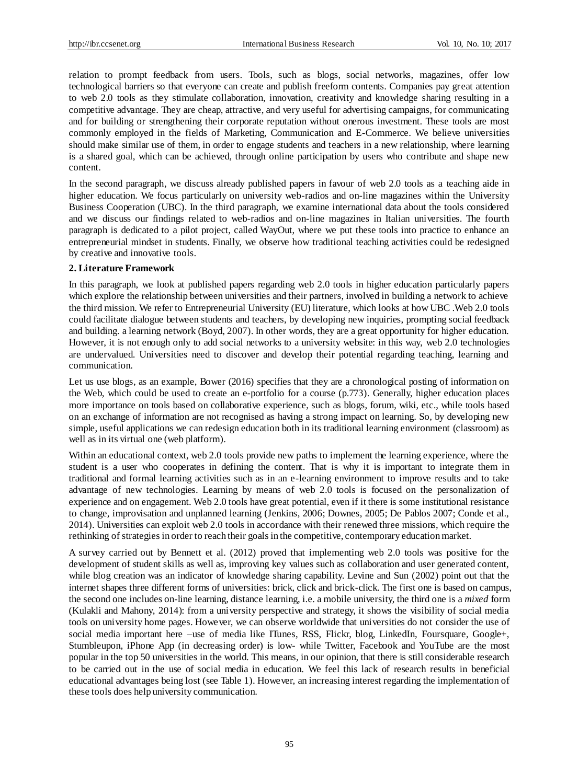relation to prompt feedback from users. Tools, such as blogs, social networks, magazines, offer low technological barriers so that everyone can create and publish freeform contents. Companies pay great attention to web 2.0 tools as they stimulate collaboration, innovation, creativity and knowledge sharing resulting in a competitive advantage. They are cheap, attractive, and very useful for advertising campaigns, for communicating and for building or strengthening their corporate reputation without onerous investment. These tools are most commonly employed in the fields of Marketing, Communication and E-Commerce. We believe universities should make similar use of them, in order to engage students and teachers in a new relationship, where learning is a shared goal, which can be achieved, through online participation by users who contribute and shape new content.

In the second paragraph, we discuss already published papers in favour of web 2.0 tools as a teaching aide in higher education. We focus particularly on university web-radios and on-line magazines within the University Business Cooperation (UBC). In the third paragraph, we examine international data about the tools considered and we discuss our findings related to web-radios and on-line magazines in Italian universities. The fourth paragraph is dedicated to a pilot project, called WayOut, where we put these tools into practice to enhance an entrepreneurial mindset in students. Finally, we observe how traditional teaching activities could be redesigned by creative and innovative tools.

## **2. Literature Framework**

In this paragraph, we look at published papers regarding web 2.0 tools in higher education particularly papers which explore the relationship between universities and their partners, involved in building a network to achieve the third mission. We refer to Entrepreneurial University (EU) literature, which looks at how UBC .Web 2.0 tools could facilitate dialogue between students and teachers, by developing new inquiries, prompting social feedback and building. a learning network (Boyd, 2007). In other words, they are a great opportunity for higher education. However, it is not enough only to add social networks to a university website: in this way, web 2.0 technologies are undervalued. Universities need to discover and develop their potential regarding teaching, learning and communication.

Let us use blogs, as an example, Bower (2016) specifies that they are a chronological posting of information on the Web, which could be used to create an e-portfolio for a course (p.773). Generally, higher education places more importance on tools based on collaborative experience, such as blogs, forum, wiki, etc., while tools based on an exchange of information are not recognised as having a strong impact on learning. So, by developing new simple, useful applications we can redesign education both in its traditional learning environment (classroom) as well as in its virtual one (web platform).

Within an educational context, web 2.0 tools provide new paths to implement the learning experience, where the student is a user who cooperates in defining the content. That is why it is important to integrate them in traditional and formal learning activities such as in an e-learning environment to improve results and to take advantage of new technologies. Learning by means of web 2.0 tools is focused on the personalization of experience and on engagement. Web 2.0 tools have great potential, even if it there is some institutional resistance to change, improvisation and unplanned learning (Jenkins, 2006; Downes, 2005; De Pablos 2007; Conde et al., 2014). Universities can exploit web 2.0 tools in accordance with their renewed three missions, which require the rethinking of strategies in order to reach their goals in the competitive, contemporary education market.

A survey carried out by Bennett et al. (2012) proved that implementing web 2.0 tools was positive for the development of student skills as well as, improving key values such as collaboration and user generated content, while blog creation was an indicator of knowledge sharing capability. Levine and Sun (2002) point out that the internet shapes three different forms of universities: brick, click and brick-click. The first one is based on campus, the second one includes on-line learning, distance learning, i.e. a mobile university, the third one is a *mixed* form (Kulakli and Mahony, 2014): from a university perspective and strategy, it shows the visibility of social media tools on university home pages. However, we can observe worldwide that universities do not consider the use of social media important here –use of media like ITunes, RSS, Flickr, blog, LinkedIn, Foursquare, Google+, Stumbleupon, iPhone App (in decreasing order) is low- while Twitter, Facebook and YouTube are the most popular in the top 50 universities in the world. This means, in our opinion, that there is still considerable research to be carried out in the use of social media in education. We feel this lack of research results in beneficial educational advantages being lost (see Table 1). However, an increasing interest regarding the implementation of these tools does help university communication.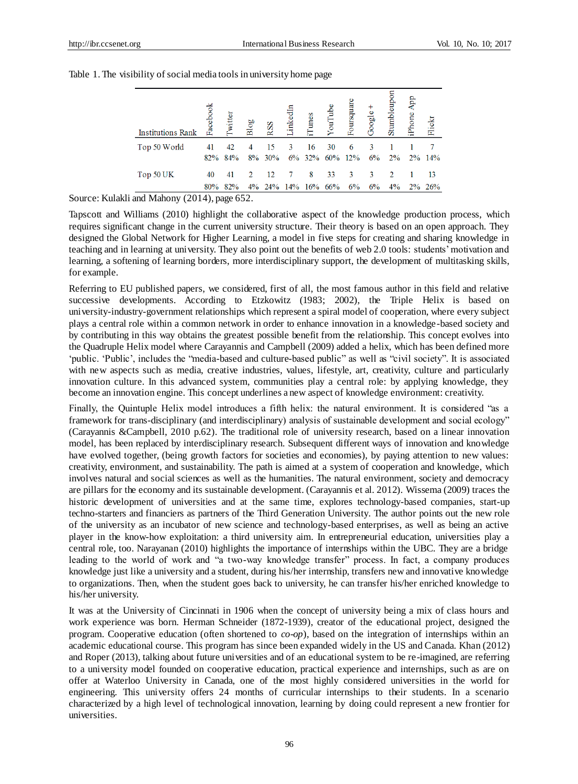| <b>Institutions Rank</b> | Facebook | witter | Blog           | <b>RSS</b>         | inkedIn | iTunes | $\alpha$ Tube  | Foursquare | Google | Stumbleup | iPhone App | Flickr |
|--------------------------|----------|--------|----------------|--------------------|---------|--------|----------------|------------|--------|-----------|------------|--------|
| Top 50 World             | 41       | 42     | 4              | 15                 | 3       | 16     | 30             | 6          | 3      |           |            |        |
|                          | 82%      | 84%    | $8\%$          | 30%                |         |        | 6% 32% 60% 12% |            | 6%     | $2\%$     |            | 2% 14% |
| Top 50 UK                | 40       | 41     | $\overline{2}$ | 12                 |         | 8      | 33             | 3          | 3      | 2         |            | 13     |
|                          | 80%      | 82%    |                | 4\% 24\% 14\% 16\% |         |        | 66%            | 6%         | 6%     | 4%        |            | 2% 26% |

## Table 1. The visibility of social media tools in university home page

Source: Kulakli and Mahony (2014), page 652.

Tapscott and Williams (2010) highlight the collaborative aspect of the knowledge production process, which requires significant change in the current university structure. Their theory is based on an open approach. They designed the Global Network for Higher Learning, a model in five steps for creating and sharing knowledge in teaching and in learning at university. They also point out the benefits of web 2.0 tools: students' motivation and learning, a softening of learning borders, more interdisciplinary support, the development of multitasking skills, for example.

Referring to EU published papers, we considered, first of all, the most famous author in this field and relative successive developments. According to Etzkowitz (1983; 2002), the Triple Helix is based on university-industry-government relationships which represent a spiral model of cooperation, where every subject plays a central role within a common network in order to enhance innovation in a knowledge-based society and by contributing in this way obtains the greatest possible benefit from the relationship. This concept evolves into the Quadruple Helix model where Carayannis and Campbell (2009) added a helix, which has been defined more 'public. 'Public', includes the "media-based and culture-based public" as well as "civil society". It is associated with new aspects such as media, creative industries, values, lifestyle, art, creativity, culture and particularly innovation culture. In this advanced system, communities play a central role: by applying knowledge, they become an innovation engine. This concept underlines a new aspect of knowledge environment: creativity.

Finally, the Quintuple Helix model introduces a fifth helix: the natural environment. It is considered "as a framework for trans-disciplinary (and interdisciplinary) analysis of sustainable development and social ecology" (Carayannis &Campbell, 2010 p.62). The traditional role of university research, based on a linear innovation model, has been replaced by interdisciplinary research. Subsequent different ways of innovation and knowledge have evolved together, (being growth factors for societies and economies), by paying attention to new values: creativity, environment, and sustainability. The path is aimed at a system of cooperation and knowledge, which involves natural and social sciences as well as the humanities. The natural environment, society and democracy are pillars for the economy and its sustainable development. (Carayannis et al. 2012). Wissema (2009) traces the historic development of universities and at the same time, explores technology-based companies, start-up techno-starters and financiers as partners of the Third Generation University. The author points out the new role of the university as an incubator of new science and technology-based enterprises, as well as being an active player in the know-how exploitation: a third university aim. In entrepreneurial education, universities play a central role, too. Narayanan (2010) highlights the importance of internships within the UBC. They are a bridge leading to the world of work and "a two-way knowledge transfer" process. In fact, a company produces knowledge just like a university and a student, during his/her internship, transfers new and innovative knowledge to organizations. Then, when the student goes back to university, he can transfer his/her enriched knowledge to his/her university.

It was at the University of Cincinnati in 1906 when the concept of university being a mix of class hours and work experience was born. Herman Schneider (1872-1939), creator of the educational project, designed the program. Cooperative education (often shortened to *co-op*), based on the integration of internships within an academic educational course. This program has since been expanded widely in the US and Canada. Khan (2012) and Roper (2013), talking about future universities and of an educational system to be re-imagined, are referring to a university model founded on cooperative education, practical experience and internships, such as are on offer at Waterloo University in Canada, one of the most highly considered universities in the world for engineering. This university offers 24 months of curricular internships to their students. In a scenario characterized by a high level of technological innovation, learning by doing could represent a new frontier for universities.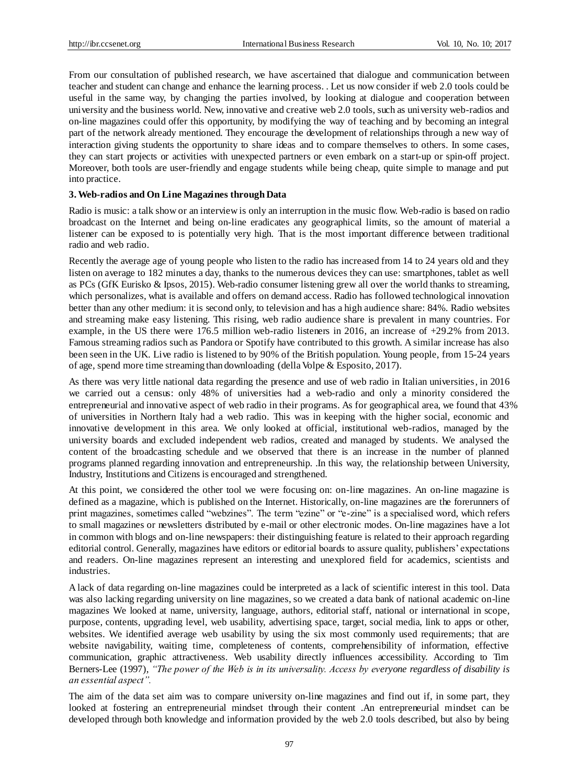From our consultation of published research, we have ascertained that dialogue and communication between teacher and student can change and enhance the learning process. . Let us now consider if web 2.0 tools could be useful in the same way, by changing the parties involved, by looking at dialogue and cooperation between university and the business world. New, innovative and creative web 2.0 tools, such as university web-radios and on-line magazines could offer this opportunity, by modifying the way of teaching and by becoming an integral part of the network already mentioned. They encourage the development of relationships through a new way of interaction giving students the opportunity to share ideas and to compare themselves to others. In some cases, they can start projects or activities with unexpected partners or even embark on a start-up or spin-off project. Moreover, both tools are user-friendly and engage students while being cheap, quite simple to manage and put into practice.

## **3. Web-radios and On Line Magazines through Data**

Radio is music: a talk show or an interview is only an interruption in the music flow. Web-radio is based on radio broadcast on the Internet and being on-line eradicates any geographical limits, so the amount of material a listener can be exposed to is potentially very high. That is the most important difference between traditional radio and web radio.

Recently the average age of young people who listen to the radio has increased from 14 to 24 years old and they listen on average to 182 minutes a day, thanks to the numerous devices they can use: smartphones, tablet as well as PCs (GfK Eurisko & Ipsos, 2015). Web-radio consumer listening grew all over the world thanks to streaming, which personalizes, what is available and offers on demand access. Radio has followed technological innovation better than any other medium: it is second only, to television and has a high audience share: 84%. Radio websites and streaming make easy listening. This rising, web radio audience share is prevalent in many countries. For example, in the US there were 176.5 million web-radio listeners in 2016, an increase of +29.2% from 2013. Famous streaming radios such as Pandora or Spotify have contributed to this growth. A similar increase has also been seen in the UK. Live radio is listened to by 90% of the British population. Young people, from 15-24 years of age, spend more time streaming than downloading (della Volpe & Esposito, 2017).

As there was very little national data regarding the presence and use of web radio in Italian universities, in 2016 we carried out a census: only 48% of universities had a web-radio and only a minority considered the entrepreneurial and innovative aspect of web radio in their programs. As for geographical area, we found that 43% of universities in Northern Italy had a web radio. This was in keeping with the higher social, economic and innovative development in this area. We only looked at official, institutional web-radios, managed by the university boards and excluded independent web radios, created and managed by students. We analysed the content of the broadcasting schedule and we observed that there is an increase in the number of planned programs planned regarding innovation and entrepreneurship. .In this way, the relationship between University, Industry, Institutions and Citizens is encouraged and strengthened.

At this point, we considered the other tool we were focusing on: on-line magazines. An on-line magazine is defined as a magazine, which is published on the Internet. Historically, on-line magazines are the forerunners of print magazines, sometimes called "webzines". The term "ezine" or "e-zine" is a specialised word, which refers to small magazines or newsletters distributed by e-mail or other electronic modes. On-line magazines have a lot in common with blogs and on-line newspapers: their distinguishing feature is related to their approach regarding editorial control. Generally, magazines have editors or editorial boards to assure quality, publishers' expectations and readers. On-line magazines represent an interesting and unexplored field for academics, scientists and industries.

A lack of data regarding on-line magazines could be interpreted as a lack of scientific interest in this tool. Data was also lacking regarding university on line magazines, so we created a data bank of national academic on-line magazines We looked at name, university, language, authors, editorial staff, national or international in scope, purpose, contents, upgrading level, web usability, advertising space, target, social media, link to apps or other, websites. We identified average web usability by using the six most commonly used requirements; that are website navigability, waiting time, completeness of contents, comprehensibility of information, effective communication, graphic attractiveness. Web usability directly influences accessibility. According to Tim Berners-Lee (1997), *"The power of the Web is in its universality. Access by everyone regardless of disability is an essential aspect".*

The aim of the data set aim was to compare university on-line magazines and find out if, in some part, they looked at fostering an entrepreneurial mindset through their content .An entrepreneurial mindset can be developed through both knowledge and information provided by the web 2.0 tools described, but also by being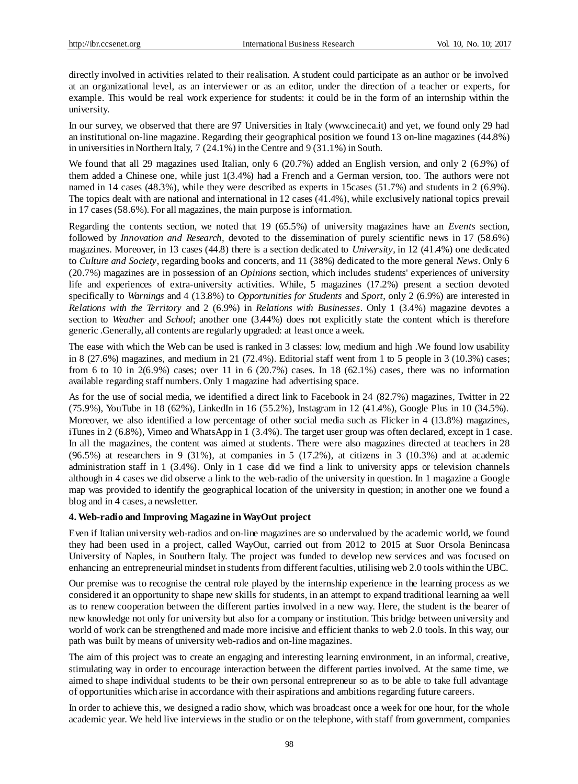directly involved in activities related to their realisation. A student could participate as an author or be involved at an organizational level, as an interviewer or as an editor, under the direction of a teacher or experts, for example. This would be real work experience for students: it could be in the form of an internship within the university.

In our survey, we observed that there are 97 Universities in Italy (www.cineca.it) and yet, we found only 29 had an institutional on-line magazine. Regarding their geographical position we found 13 on-line magazines (44.8%) in universities in Northern Italy, 7 (24.1%) in the Centre and 9 (31.1%) in South.

We found that all 29 magazines used Italian, only 6 (20.7%) added an English version, and only 2 (6.9%) of them added a Chinese one, while just 1(3.4%) had a French and a German version, too. The authors were not named in 14 cases (48.3%), while they were described as experts in 15cases (51.7%) and students in 2 (6.9%). The topics dealt with are national and international in 12 cases (41.4%), while exclusively national topics prevail in 17 cases (58.6%). For all magazines, the main purpose is information.

Regarding the contents section, we noted that 19 (65.5%) of university magazines have an *Events* section, followed by *Innovation and Research,* devoted to the dissemination of purely scientific news in 17 (58.6%) magazines. Moreover, in 13 cases (44.8) there is a section dedicated to *University*, in 12 (41.4%) one dedicated to *Culture and Society*, regarding books and concerts, and 11 (38%) dedicated to the more general *News*. Only 6 (20.7%) magazines are in possession of an *Opinions* section, which includes students' experiences of university life and experiences of extra-university activities. While, 5 magazines (17.2%) present a section devoted specifically to *Warnings* and 4 (13.8%) to *Opportunities for Students* and *Sport*, only 2 (6.9%) are interested in *Relations with the Territory* and 2 (6.9%) in *Relations with Businesses*. Only 1 (3.4%) magazine devotes a section to *Weather* and *School*; another one (3.44%) does not explicitly state the content which is therefore generic .Generally, all contents are regularly upgraded: at least once a week.

The ease with which the Web can be used is ranked in 3 classes: low, medium and high .We found low usability in 8 (27.6%) magazines, and medium in 21 (72.4%). Editorial staff went from 1 to 5 people in 3 (10.3%) cases; from 6 to 10 in 2(6.9%) cases; over 11 in 6 (20.7%) cases. In 18 (62.1%) cases, there was no information available regarding staff numbers. Only 1 magazine had advertising space.

As for the use of social media, we identified a direct link to Facebook in 24 (82.7%) magazines, Twitter in 22 (75.9%), YouTube in 18 (62%), LinkedIn in 16 (55.2%), Instagram in 12 (41.4%), Google Plus in 10 (34.5%). Moreover, we also identified a low percentage of other social media such as Flicker in 4 (13.8%) magazines, iTunes in 2 (6.8%), Vimeo and WhatsApp in 1 (3.4%). The target user group was often declared, except in 1 case. In all the magazines, the content was aimed at students. There were also magazines directed at teachers in 28  $(96.5%)$  at researchers in 9  $(31%)$ , at companies in 5  $(17.2%)$ , at citizens in 3  $(10.3%)$  and at academic administration staff in 1 (3.4%). Only in 1 case did we find a link to university apps or television channels although in 4 cases we did observe a link to the web-radio of the university in question. In 1 magazine a Google map was provided to identify the geographical location of the university in question; in another one we found a blog and in 4 cases, a newsletter.

#### **4. Web-radio and Improving Magazine in WayOut project**

Even if Italian university web-radios and on-line magazines are so undervalued by the academic world, we found they had been used in a project, called WayOut, carried out from 2012 to 2015 at Suor Orsola Benincasa University of Naples, in Southern Italy. The project was funded to develop new services and was focused on enhancing an entrepreneurial mindset in students from different faculties, utilising web 2.0 tools within the UBC.

Our premise was to recognise the central role played by the internship experience in the learning process as we considered it an opportunity to shape new skills for students, in an attempt to expand traditional learning aa well as to renew cooperation between the different parties involved in a new way. Here, the student is the bearer of new knowledge not only for university but also for a company or institution. This bridge between university and world of work can be strengthened and made more incisive and efficient thanks to web 2.0 tools. In this way, our path was built by means of university web-radios and on-line magazines.

The aim of this project was to create an engaging and interesting learning environment, in an informal, creative, stimulating way in order to encourage interaction between the different parties involved. At the same time, we aimed to shape individual students to be their own personal entrepreneur so as to be able to take full advantage of opportunities which arise in accordance with their aspirations and ambitions regarding future careers.

In order to achieve this, we designed a radio show, which was broadcast once a week for one hour, for the whole academic year. We held live interviews in the studio or on the telephone, with staff from government, companies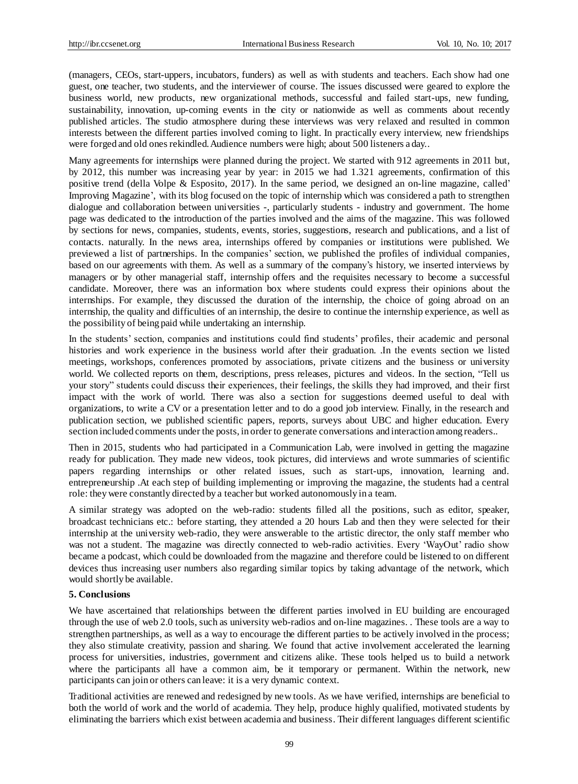(managers, CEOs, start-uppers, incubators, funders) as well as with students and teachers. Each show had one guest, one teacher, two students, and the interviewer of course. The issues discussed were geared to explore the business world, new products, new organizational methods, successful and failed start-ups, new funding, sustainability, innovation, up-coming events in the city or nationwide as well as comments about recently published articles. The studio atmosphere during these interviews was very relaxed and resulted in common interests between the different parties involved coming to light. In practically every interview, new friendships were forged and old ones rekindled. Audience numbers were high; about 500 listeners a day..

Many agreements for internships were planned during the project. We started with 912 agreements in 2011 but, by 2012, this number was increasing year by year: in 2015 we had 1.321 agreements, confirmation of this positive trend (della Volpe & Esposito, 2017). In the same period, we designed an on-line magazine, called' Improving Magazine', with its blog focused on the topic of internship which was considered a path to strengthen dialogue and collaboration between universities -, particularly students - industry and government. The home page was dedicated to the introduction of the parties involved and the aims of the magazine. This was followed by sections for news, companies, students, events, stories, suggestions, research and publications, and a list of contacts. naturally. In the news area, internships offered by companies or institutions were published. We previewed a list of partnerships. In the companies' section, we published the profiles of individual companies, based on our agreements with them. As well as a summary of the company's history, we inserted interviews by managers or by other managerial staff, internship offers and the requisites necessary to become a successful candidate. Moreover, there was an information box where students could express their opinions about the internships. For example, they discussed the duration of the internship, the choice of going abroad on an internship, the quality and difficulties of an internship, the desire to continue the internship experience, as well as the possibility of being paid while undertaking an internship.

In the students' section, companies and institutions could find students' profiles, their academic and personal histories and work experience in the business world after their graduation. .In the events section we listed meetings, workshops, conferences promoted by associations, private citizens and the business or university world. We collected reports on them, descriptions, press releases, pictures and videos. In the section, "Tell us your story" students could discuss their experiences, their feelings, the skills they had improved, and their first impact with the work of world. There was also a section for suggestions deemed useful to deal with organizations, to write a CV or a presentation letter and to do a good job interview. Finally, in the research and publication section, we published scientific papers, reports, surveys about UBC and higher education. Every section included comments under the posts, in order to generate conversations and interaction among readers..

Then in 2015, students who had participated in a Communication Lab, were involved in getting the magazine ready for publication. They made new videos, took pictures, did interviews and wrote summaries of scientific papers regarding internships or other related issues, such as start-ups, innovation, learning and. entrepreneurship .At each step of building implementing or improving the magazine, the students had a central role: they were constantly directed by a teacher but worked autonomously in a team.

A similar strategy was adopted on the web-radio: students filled all the positions, such as editor, speaker, broadcast technicians etc.: before starting, they attended a 20 hours Lab and then they were selected for their internship at the university web-radio, they were answerable to the artistic director, the only staff member who was not a student. The magazine was directly connected to web-radio activities. Every 'WayOut' radio show became a podcast, which could be downloaded from the magazine and therefore could be listened to on different devices thus increasing user numbers also regarding similar topics by taking advantage of the network, which would shortly be available.

## **5. Conclusions**

We have ascertained that relationships between the different parties involved in EU building are encouraged through the use of web 2.0 tools, such as university web-radios and on-line magazines. . These tools are a way to strengthen partnerships, as well as a way to encourage the different parties to be actively involved in the process; they also stimulate creativity, passion and sharing. We found that active involvement accelerated the learning process for universities, industries, government and citizens alike. These tools helped us to build a network where the participants all have a common aim, be it temporary or permanent. Within the network, new participants can join or others can leave: it is a very dynamic context.

Traditional activities are renewed and redesigned by new tools. As we have verified, internships are beneficial to both the world of work and the world of academia. They help, produce highly qualified, motivated students by eliminating the barriers which exist between academia and business. Their different languages different scientific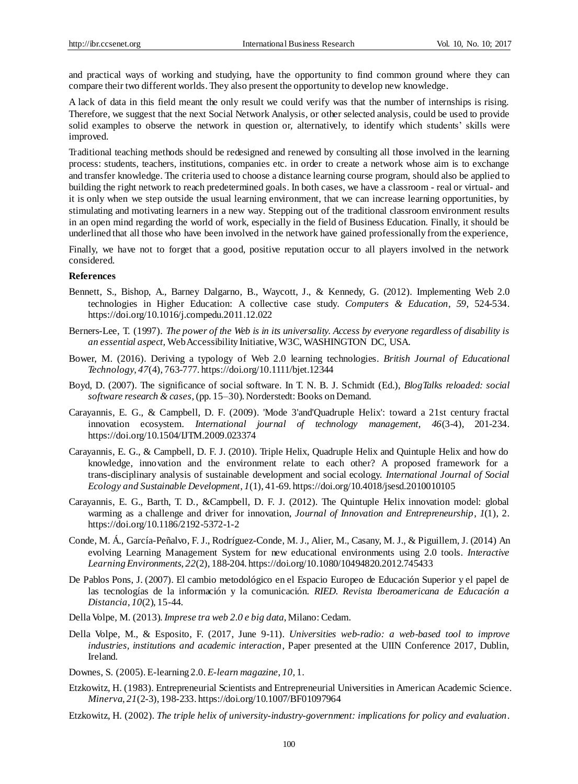and practical ways of working and studying, have the opportunity to find common ground where they can compare their two different worlds. They also present the opportunity to develop new knowledge.

A lack of data in this field meant the only result we could verify was that the number of internships is rising. Therefore, we suggest that the next Social Network Analysis, or other selected analysis, could be used to provide solid examples to observe the network in question or, alternatively, to identify which students' skills were improved.

Traditional teaching methods should be redesigned and renewed by consulting all those involved in the learning process: students, teachers, institutions, companies etc. in order to create a network whose aim is to exchange and transfer knowledge. The criteria used to choose a distance learning course program, should also be applied to building the right network to reach predetermined goals. In both cases, we have a classroom - real or virtual- and it is only when we step outside the usual learning environment, that we can increase learning opportunities, by stimulating and motivating learners in a new way. Stepping out of the traditional classroom environment results in an open mind regarding the world of work, especially in the field of Business Education. Finally, it should be underlined that all those who have been involved in the network have gained professionally from the experience,

Finally, we have not to forget that a good, positive reputation occur to all players involved in the network considered.

### **References**

- Bennett, S., Bishop, A., Barney Dalgarno, B., Waycott, J., & Kennedy, G. (2012). Implementing Web 2.0 technologies in Higher Education: A collective case study. *Computers & Education*, *59,* 524-534. https://doi.org/10.1016/j.compedu.2011.12.022
- Berners-Lee, T. (1997). *The power of the Web is in its universality. Access by everyone regardless of disability is an essential aspect,* Web Accessibility Initiative, W3C, WASHINGTON DC, USA.
- Bower, M. (2016). Deriving a typology of Web 2.0 learning technologies. *British Journal of Educational Technology*, *47*(4), 763-777. https://doi.org/10.1111/bjet.12344
- Boyd, D. (2007). The significance of social software. In T. N. B. J. Schmidt (Ed.), *BlogTalks reloaded: social software research & cases*, (pp. 15–30). Norderstedt: Books on Demand.
- Carayannis, E. G., & Campbell, D. F. (2009). 'Mode 3'and'Quadruple Helix': toward a 21st century fractal innovation ecosystem. *International journal of technology management, 46*(3-4), 201-234. https://doi.org/10.1504/IJTM.2009.023374
- Carayannis, E. G., & Campbell, D. F. J. (2010). Triple Helix, Quadruple Helix and Quintuple Helix and how do knowledge, innovation and the environment relate to each other? A proposed framework for a trans-disciplinary analysis of sustainable development and social ecology. *International Journal of Social Ecology and Sustainable Development*, *1*(1), 41-69. https://doi.org/10.4018/jsesd.2010010105
- Carayannis, E. G., Barth, T. D., &Campbell, D. F. J. (2012). The Quintuple Helix innovation model: global warming as a challenge and driver for innovation, *Journal of Innovation and Entrepreneurship*, *1*(1), 2. https://doi.org/10.1186/2192-5372-1-2
- Conde, M. Á., Garc ía-Peñalvo, F. J., Rodr íguez-Conde, M. J., Alier, M., Casany, M. J., & Piguillem, J. (2014) An evolving Learning Management System for new educational environments using 2.0 tools. *Interactive Learning Environments*, *22*(2), 188-204. https://doi.org/10.1080/10494820.2012.745433
- De Pablos Pons, J. (2007). El cambio metodológico en el Espacio Europeo de Educación Superior y el papel de las tecnologías de la información y la comunicación. *RIED. Revista Iberoamericana de Educación a Distancia*, *10*(2), 15-44.
- Della Volpe, M. (2013). *Imprese tra web 2.0 e big data*, Milano: Cedam.
- Della Volpe, M., & Esposito, F. (2017, June 9-11). *Universities web-radio: a web-based tool to improve industries, institutions and academic interaction*, Paper presented at the UIIN Conference 2017, Dublin, Ireland.
- Downes, S. (2005). E-learning 2.0. *E-learn magazine*, *10,* 1.
- Etzkowitz, H. (1983). Entrepreneurial Scientists and Entrepreneurial Universities in American Academic Science. *Minerva*, *21*(2-3), 198-233. https://doi.org/10.1007/BF01097964
- Etzkowitz, H. (2002). *The triple helix of university-industry-government: implications for policy and evaluation*.